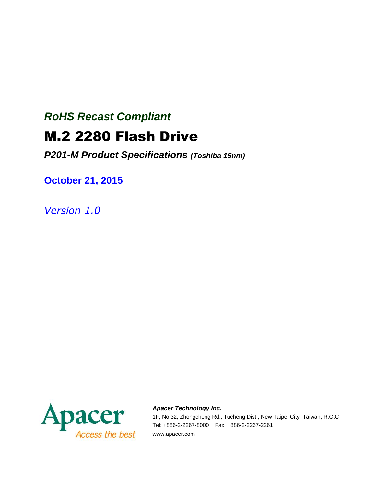# *RoHS Recast Compliant*

# M.2 2280 Flash Drive

*P201-M Product Specifications (Toshiba 15nm)*

**October 21, 2015**

*Version 1.0*



#### *Apacer Technology Inc.*

1F, No.32, Zhongcheng Rd., Tucheng Dist., New Taipei City, Taiwan, R.O.C Tel: +886-2-2267-8000 Fax: +886-2-2267-2261 www.apacer.com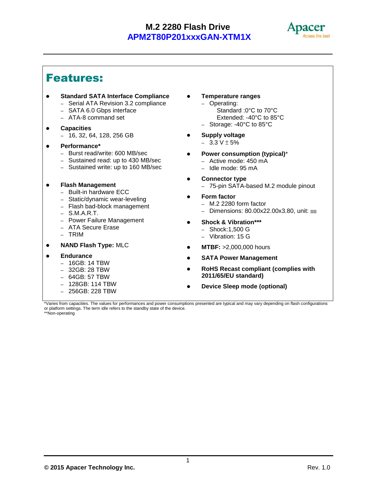

# Features:

- **Standard SATA Interface Compliance** – Serial ATA Revision 3.2 compliance
	- SATA 6.0 Gbps interface
	- ATA-8 command set
	-
- **Capacities**
	- 16, 32, 64, 128, 256 GB

#### **Performance\***

- Burst read/write: 600 MB/sec
- Sustained read: up to 430 MB/sec
- Sustained write: up to 160 MB/sec
- **Flash Management**
	- Built-in hardware ECC
	- Static/dynamic wear-leveling
	- Flash bad-block management
	- S.M.A.R.T.
	- Power Failure Management
	- ATA Secure Erase
	- TRIM
- **NAND Flash Type:** MLC
- **Endurance**
	- 16GB: 14 TBW
	- 32GB: 28 TBW
	- 64GB: 57 TBW
	- 128GB: 114 TBW
	- 256GB: 228 TBW
- **Temperature ranges**
	- Operating: Standard :0°C to 70°C Extended: -40°C to 85°C
	- Storage: -40°C to 85°C
- **Supply voltage**
	- $-3.3 V \pm 5%$
- **Power consumption (typical)**\*
	- Active mode: 450 mA
	- Idle mode: 95 mA
- **Connector type**
	- 75-pin SATA-based M.2 module pinout
- **Form factor**
	- M.2 2280 form factor
	- Dimensions: 80.00x22.00x3.80, unit: ㎜
- **Shock & Vibration\*\*\***
	- Shock:1,500 G
	- Vibration: 15 G
- **MTBF:** >2,000,000 hours
- **SATA Power Management**
- **RoHS Recast compliant (complies with 2011/65/EU standard)**
- **Device Sleep mode (optional)**

\*Varies from capacities. The values for performances and power consumptions presented are typical and may vary depending on flash configurations or platform settings. The term idle refers to the standby state of the device. \*\*Non-operating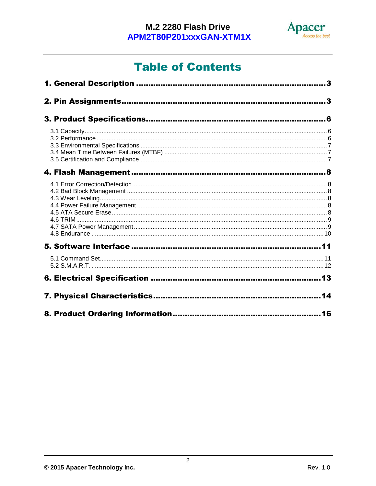

# **Table of Contents**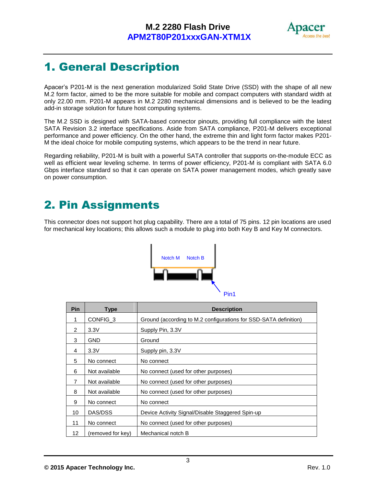

# <span id="page-3-0"></span>1. General Description

Apacer's P201-M is the next generation modularized Solid State Drive (SSD) with the shape of all new M.2 form factor, aimed to be the more suitable for mobile and compact computers with standard width at only 22.00 mm. P201-M appears in M.2 2280 mechanical dimensions and is believed to be the leading add-in storage solution for future host computing systems.

The M.2 SSD is designed with SATA-based connector pinouts, providing full compliance with the latest SATA Revision 3.2 interface specifications. Aside from SATA compliance, P201-M delivers exceptional performance and power efficiency. On the other hand, the extreme thin and light form factor makes P201- M the ideal choice for mobile computing systems, which appears to be the trend in near future.

Regarding reliability, P201-M is built with a powerful SATA controller that supports on-the-module ECC as well as efficient wear leveling scheme. In terms of power efficiency, P201-M is compliant with SATA 6.0 Gbps interface standard so that it can operate on SATA power management modes, which greatly save on power consumption.

# <span id="page-3-1"></span>2. Pin Assignments

This connector does not support hot plug capability. There are a total of 75 pins. 12 pin locations are used for mechanical key locations; this allows such a module to plug into both Key B and Key M connectors.



| Pin            | Type                | <b>Description</b>                                               |
|----------------|---------------------|------------------------------------------------------------------|
| 1              | CONFIG <sub>3</sub> | Ground (according to M.2 configurations for SSD-SATA definition) |
| $\mathcal{P}$  | 3.3V                | Supply Pin, 3.3V                                                 |
| 3              | <b>GND</b>          | Ground                                                           |
| 4              | 3.3V                | Supply pin, 3.3V                                                 |
| 5              | No connect          | No connect                                                       |
| 6              | Not available       | No connect (used for other purposes)                             |
| $\overline{7}$ | Not available       | No connect (used for other purposes)                             |
| 8              | Not available       | No connect (used for other purposes)                             |
| 9              | No connect          | No connect                                                       |
| 10             | DAS/DSS             | Device Activity Signal/Disable Staggered Spin-up                 |
| 11             | No connect          | No connect (used for other purposes)                             |
| 12             | (removed for key)   | Mechanical notch B                                               |

**© 2015 Apacer Technology Inc.** Rev. 1.0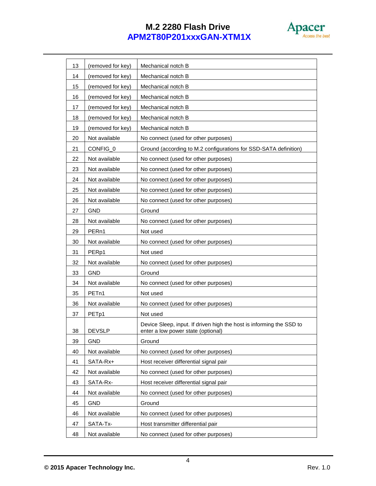

| 13 | (removed for key) | Mechanical notch B                                                                                         |
|----|-------------------|------------------------------------------------------------------------------------------------------------|
| 14 | (removed for key) | Mechanical notch B                                                                                         |
| 15 | (removed for key) | Mechanical notch B                                                                                         |
| 16 | (removed for kev) | Mechanical notch B                                                                                         |
| 17 | (removed for key) | Mechanical notch B                                                                                         |
| 18 | (removed for key) | Mechanical notch B                                                                                         |
| 19 | (removed for key) | Mechanical notch B                                                                                         |
| 20 | Not available     | No connect (used for other purposes)                                                                       |
| 21 | CONFIG_0          | Ground (according to M.2 configurations for SSD-SATA definition)                                           |
| 22 | Not available     | No connect (used for other purposes)                                                                       |
| 23 | Not available     | No connect (used for other purposes)                                                                       |
| 24 | Not available     | No connect (used for other purposes)                                                                       |
| 25 | Not available     | No connect (used for other purposes)                                                                       |
| 26 | Not available     | No connect (used for other purposes)                                                                       |
| 27 | <b>GND</b>        | Ground                                                                                                     |
| 28 | Not available     | No connect (used for other purposes)                                                                       |
| 29 | PER <sub>n1</sub> | Not used                                                                                                   |
| 30 | Not available     | No connect (used for other purposes)                                                                       |
| 31 | PER <sub>p1</sub> | Not used                                                                                                   |
| 32 | Not available     | No connect (used for other purposes)                                                                       |
| 33 | <b>GND</b>        | Ground                                                                                                     |
| 34 | Not available     | No connect (used for other purposes)                                                                       |
| 35 | PET <sub>n1</sub> | Not used                                                                                                   |
| 36 | Not available     | No connect (used for other purposes)                                                                       |
| 37 | PET <sub>p1</sub> | Not used                                                                                                   |
| 38 | <b>DEVSLP</b>     | Device Sleep, input. If driven high the host is informing the SSD to<br>enter a low power state (optional) |
| 39 | <b>GND</b>        | Ground                                                                                                     |
| 40 | Not available     | No connect (used for other purposes)                                                                       |
| 41 | SATA-Rx+          | Host receiver differential signal pair                                                                     |
| 42 | Not available     | No connect (used for other purposes)                                                                       |
| 43 | SATA-Rx-          | Host receiver differential signal pair                                                                     |
| 44 | Not available     | No connect (used for other purposes)                                                                       |
| 45 | <b>GND</b>        | Ground                                                                                                     |
| 46 | Not available     | No connect (used for other purposes)                                                                       |
| 47 | SATA-Tx-          | Host transmitter differential pair                                                                         |
| 48 | Not available     | No connect (used for other purposes)                                                                       |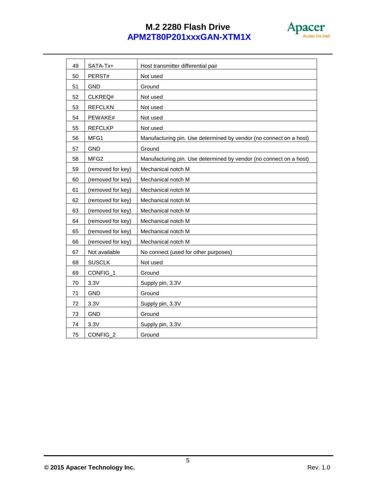

| 49 | SATA-Tx+          | Host transmitter differential pair                                 |
|----|-------------------|--------------------------------------------------------------------|
| 50 | PERST#            | Not used                                                           |
| 51 | <b>GND</b>        | Ground                                                             |
| 52 | CLKREQ#           | Not used                                                           |
| 53 | <b>REFCLKN</b>    | Not used                                                           |
| 54 | PEWAKE#           | Not used                                                           |
| 55 | <b>REFCLKP</b>    | Not used                                                           |
| 56 | MFG1              | Manufacturing pin. Use determined by vendor (no connect on a host) |
| 57 | <b>GND</b>        | Ground                                                             |
| 58 | MFG <sub>2</sub>  | Manufacturing pin. Use determined by vendor (no connect on a host) |
| 59 | (removed for key) | Mechanical notch M                                                 |
| 60 | (removed for key) | Mechanical notch M                                                 |
| 61 | (removed for key) | Mechanical notch M                                                 |
| 62 | (removed for key) | Mechanical notch M                                                 |
| 63 | (removed for key) | Mechanical notch M                                                 |
| 64 | (removed for key) | Mechanical notch M                                                 |
| 65 | (removed for key) | Mechanical notch M                                                 |
| 66 | (removed for key) | Mechanical notch M                                                 |
| 67 | Not available     | No connect (used for other purposes)                               |
| 68 | <b>SUSCLK</b>     | Not used                                                           |
| 69 | CONFIG_1          | Ground                                                             |
| 70 | 3.3V              | Supply pin, 3.3V                                                   |
| 71 | <b>GND</b>        | Ground                                                             |
| 72 | 3.3V              | Supply pin, 3.3V                                                   |
| 73 | GND               | Ground                                                             |
| 74 | 3.3V              | Supply pin, 3.3V                                                   |
| 75 | CONFIG_2          | Ground                                                             |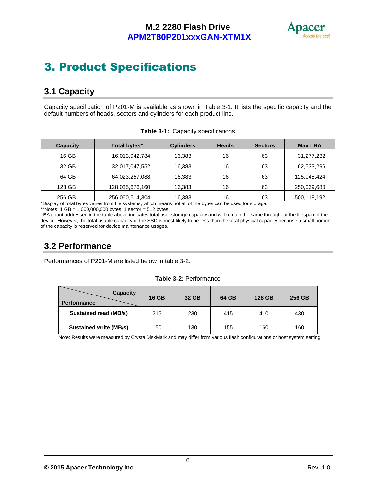

# <span id="page-6-0"></span>3. Product Specifications

# <span id="page-6-1"></span>**3.1 Capacity**

Capacity specification of P201-M is available as shown in Table 3-1. It lists the specific capacity and the default numbers of heads, sectors and cylinders for each product line.

| <b>Capacity</b> | Total bytes*    | <b>Cylinders</b> | <b>Heads</b> | <b>Sectors</b> | <b>Max LBA</b> |
|-----------------|-----------------|------------------|--------------|----------------|----------------|
| 16 GB           | 16,013,942,784  | 16,383           | 16           | 63             | 31,277,232     |
| 32 GB           | 32,017,047,552  | 16,383           | 16           | 63             | 62,533,296     |
| 64 GB           | 64,023,257,088  | 16,383           | 16           | 63             | 125,045,424    |
| 128 GB          | 128,035,676,160 | 16,383           | 16           | 63             | 250,069,680    |
| 256 GB          | 256,060,514,304 | 16,383           | 16           | 63             | 500,118,192    |

|  |  | Table 3-1: Capacity specifications |
|--|--|------------------------------------|
|--|--|------------------------------------|

\*Display of total bytes varies from file systems, which means not all of the bytes can be used for storage.

LBA count addressed in the table above indicates total user storage capacity and will remain the same throughout the lifespan of the device. However, the total usable capacity of the SSD is most likely to be less than the total physical capacity because a small portion of the capacity is reserved for device maintenance usages.

# <span id="page-6-2"></span>**3.2 Performance**

Performances of P201-M are listed below in table 3-2.

#### **Table 3-2:** Performance

| <b>Capacity</b><br><b>Performance</b> | <b>16 GB</b> | 32 GB | 64 GB | 128 GB | 256 GB |
|---------------------------------------|--------------|-------|-------|--------|--------|
| <b>Sustained read (MB/s)</b>          | 215          | 230   | 415   | 410    | 430    |
| <b>Sustained write (MB/s)</b>         | 150          | 130   | 155   | 160    | 160    |

Note: Results were measured by CrystalDiskMark and may differ from various flash configurations or host system setting

<sup>\*\*</sup>Notes:  $1 \text{ GB} = 1,000,000,000$  bytes;  $1 \text{ sector} = 512$  bytes.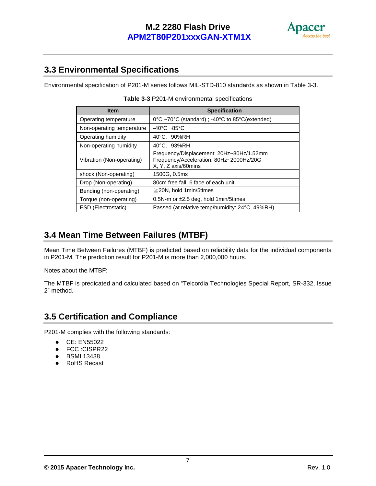

### <span id="page-7-0"></span>**3.3 Environmental Specifications**

Environmental specification of P201-M series follows MIL-STD-810 standards as shown in Table 3-3.

| <b>Item</b>               | <b>Specification</b>                                                                                       |
|---------------------------|------------------------------------------------------------------------------------------------------------|
| Operating temperature     | 0°C ~70°C (standard); -40°C to 85°C(extended)                                                              |
| Non-operating temperature | -40 $^{\circ}$ C ~85 $^{\circ}$ C                                                                          |
| Operating humidity        | 40°C. 90%RH                                                                                                |
| Non-operating humidity    | 40°C, 93%RH                                                                                                |
| Vibration (Non-operating) | Frequency/Displacement: 20Hz~80Hz/1.52mm<br>Frequency/Acceleration: 80Hz~2000Hz/20G<br>X, Y, Z axis/60mins |
| shock (Non-operating)     | 1500G, 0.5ms                                                                                               |
| Drop (Non-operating)      | 80cm free fall, 6 face of each unit                                                                        |
| Bending (non-operating)   | $\geq$ 20N, hold 1 min/5 times                                                                             |
| Torque (non-operating)    | 0.5N-m or $\pm 2.5$ deg, hold 1 min/5 times                                                                |
| ESD (Electrostatic)       | Passed (at relative temp/humidity: 24°C, 49%RH)                                                            |

## <span id="page-7-1"></span>**3.4 Mean Time Between Failures (MTBF)**

Mean Time Between Failures (MTBF) is predicted based on reliability data for the individual components in P201-M. The prediction result for P201-M is more than 2,000,000 hours.

Notes about the MTBF:

The MTBF is predicated and calculated based on "Telcordia Technologies Special Report, SR-332, Issue 2" method.

### <span id="page-7-2"></span>**3.5 Certification and Compliance**

P201-M complies with the following standards:

- CE: EN55022
- FCC :CISPR22
- BSMI 13438
- RoHS Recast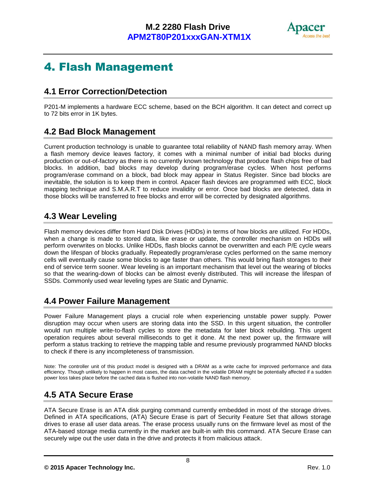

# <span id="page-8-0"></span>4. Flash Management

### <span id="page-8-1"></span>**4.1 Error Correction/Detection**

P201-M implements a hardware ECC scheme, based on the BCH algorithm. It can detect and correct up to 72 bits error in 1K bytes.

## <span id="page-8-2"></span>**4.2 Bad Block Management**

Current production technology is unable to guarantee total reliability of NAND flash memory array. When a flash memory device leaves factory, it comes with a minimal number of initial bad blocks during production or out-of-factory as there is no currently known technology that produce flash chips free of bad blocks. In addition, bad blocks may develop during program/erase cycles. When host performs program/erase command on a block, bad block may appear in Status Register. Since bad blocks are inevitable, the solution is to keep them in control. Apacer flash devices are programmed with ECC, block mapping technique and S.M.A.R.T to reduce invalidity or error. Once bad blocks are detected, data in those blocks will be transferred to free blocks and error will be corrected by designated algorithms.

## <span id="page-8-3"></span>**4.3 Wear Leveling**

Flash memory devices differ from Hard Disk Drives (HDDs) in terms of how blocks are utilized. For HDDs, when a change is made to stored data, like erase or update, the controller mechanism on HDDs will perform overwrites on blocks. Unlike HDDs, flash blocks cannot be overwritten and each P/E cycle wears down the lifespan of blocks gradually. Repeatedly program/erase cycles performed on the same memory cells will eventually cause some blocks to age faster than others. This would bring flash storages to their end of service term sooner. Wear leveling is an important mechanism that level out the wearing of blocks so that the wearing-down of blocks can be almost evenly distributed. This will increase the lifespan of SSDs. Commonly used wear leveling types are Static and Dynamic.

# <span id="page-8-4"></span>**4.4 Power Failure Management**

Power Failure Management plays a crucial role when experiencing unstable power supply. Power disruption may occur when users are storing data into the SSD. In this urgent situation, the controller would run multiple write-to-flash cycles to store the metadata for later block rebuilding. This urgent operation requires about several milliseconds to get it done. At the next power up, the firmware will perform a status tracking to retrieve the mapping table and resume previously programmed NAND blocks to check if there is any incompleteness of transmission.

Note: The controller unit of this product model is designed with a DRAM as a write cache for improved performance and data efficiency. Though unlikely to happen in most cases, the data cached in the volatile DRAM might be potentially affected if a sudden power loss takes place before the cached data is flushed into non-volatile NAND flash memory.

# <span id="page-8-5"></span>**4.5 ATA Secure Erase**

ATA Secure Erase is an ATA disk purging command currently embedded in most of the storage drives. Defined in ATA specifications, (ATA) Secure Erase is part of Security Feature Set that allows storage drives to erase all user data areas. The erase process usually runs on the firmware level as most of the ATA-based storage media currently in the market are built-in with this command. ATA Secure Erase can securely wipe out the user data in the drive and protects it from malicious attack.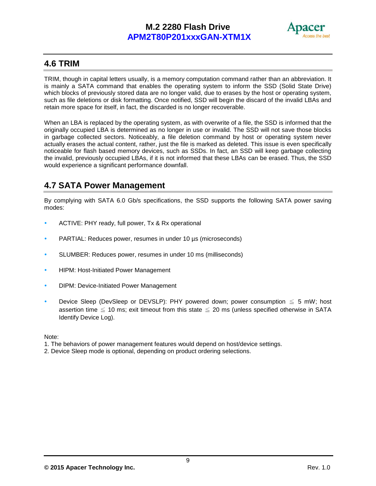

### <span id="page-9-0"></span>**4.6 TRIM**

TRIM, though in capital letters usually, is a memory computation command rather than an abbreviation. It is mainly a SATA command that enables the operating system to inform the SSD (Solid State Drive) which blocks of previously stored data are no longer valid, due to erases by the host or operating system, such as file deletions or disk formatting. Once notified, SSD will begin the discard of the invalid LBAs and retain more space for itself, in fact, the discarded is no longer recoverable.

When an LBA is replaced by the operating system, as with overwrite of a file, the SSD is informed that the originally occupied LBA is determined as no longer in use or invalid. The SSD will not save those blocks in garbage collected sectors. Noticeably, a file deletion command by host or operating system never actually erases the actual content, rather, just the file is marked as deleted. This issue is even specifically noticeable for flash based memory devices, such as SSDs. In fact, an SSD will keep garbage collecting the invalid, previously occupied LBAs, if it is not informed that these LBAs can be erased. Thus, the SSD would experience a significant performance downfall.

## <span id="page-9-1"></span>**4.7 SATA Power Management**

By complying with SATA 6.0 Gb/s specifications, the SSD supports the following SATA power saving modes:

- ACTIVE: PHY ready, full power, Tx & Rx operational
- PARTIAL: Reduces power, resumes in under 10 [µs](http://en.wikipedia.org/wiki/Mu_(letter)) (microseconds)
- SLUMBER: Reduces power, resumes in under 10 ms (milliseconds)
- **HIPM: Host-Initiated Power Management**
- DIPM: Device-Initiated Power Management
- Device Sleep (DevSleep or DEVSLP): PHY powered down; power consumption  $\leq 5$  mW; host assertion time  $\leq 10$  ms; exit timeout from this state  $\leq 20$  ms (unless specified otherwise in SATA Identify Device Log).

Note:

- 1. The behaviors of power management features would depend on host/device settings.
- 2. Device Sleep mode is optional, depending on product ordering selections.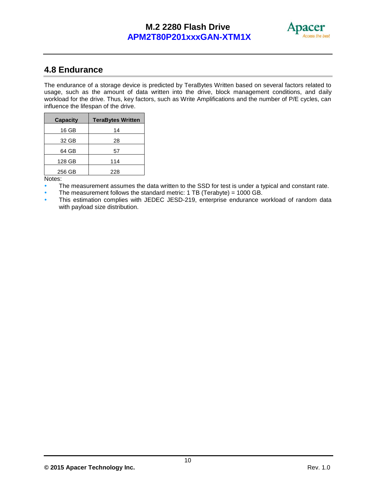

### <span id="page-10-0"></span>**4.8 Endurance**

The endurance of a storage device is predicted by TeraBytes Written based on several factors related to usage, such as the amount of data written into the drive, block management conditions, and daily workload for the drive. Thus, key factors, such as Write Amplifications and the number of P/E cycles, can influence the lifespan of the drive.

| <b>Capacity</b> | <b>TeraBytes Written</b> |
|-----------------|--------------------------|
| 16 GB           | 14                       |
| 32 GB           | 28                       |
| 64 GB           | 57                       |
| 128 GB          | 114                      |
| 256 GB          | 228                      |

Notes:

The measurement assumes the data written to the SSD for test is under a typical and constant rate.

The measurement follows the standard metric: 1 TB (Terabyte) = 1000 GB.

 This estimation complies with JEDEC JESD-219, enterprise endurance workload of random data with payload size distribution.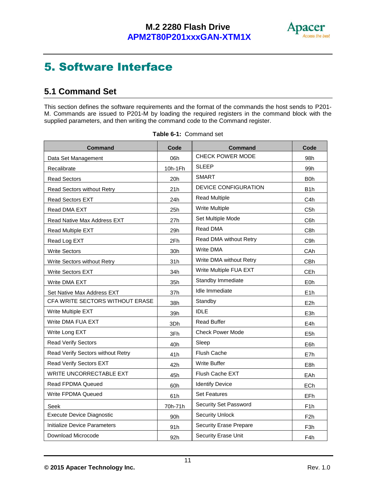

# <span id="page-11-0"></span>5. Software Interface

# <span id="page-11-1"></span>**5.1 Command Set**

This section defines the software requirements and the format of the commands the host sends to P201- M. Commands are issued to P201-M by loading the required registers in the command block with the supplied parameters, and then writing the command code to the Command register.

| <b>Command</b>                     | Code            | <b>Command</b>                | Code             |
|------------------------------------|-----------------|-------------------------------|------------------|
| Data Set Management                | 06h             | CHECK POWER MODE              | 98h              |
| Recalibrate                        | 10h-1Fh         | <b>SLEEP</b>                  | 99 <sub>h</sub>  |
| <b>Read Sectors</b>                | 20h             | <b>SMART</b>                  | B <sub>0</sub> h |
| Read Sectors without Retry         | 21h             | DEVICE CONFIGURATION          | B <sub>1</sub> h |
| <b>Read Sectors EXT</b>            | 24h             | <b>Read Multiple</b>          | C4h              |
| Read DMA EXT                       | 25h             | <b>Write Multiple</b>         | C5h              |
| <b>Read Native Max Address EXT</b> | 27h             | Set Multiple Mode             | C6h              |
| Read Multiple EXT                  | 29h             | Read DMA                      | C8h              |
| Read Log EXT                       | 2Fh             | Read DMA without Retry        | C <sub>9</sub> h |
| <b>Write Sectors</b>               | 30h             | <b>Write DMA</b>              | CAh              |
| Write Sectors without Retry        | 31h             | Write DMA without Retry       | <b>CBh</b>       |
| <b>Write Sectors EXT</b>           | 34h             | Write Multiple FUA EXT        | CEh              |
| Write DMA EXT                      | 35h             | Standby Immediate             | E0h              |
| Set Native Max Address EXT         | 37h             | Idle Immediate                | E1h              |
| CFA WRITE SECTORS WITHOUT ERASE    | 38h             | Standby                       | E <sub>2</sub> h |
| Write Multiple EXT                 | 39h             | <b>IDLE</b>                   | E <sub>3</sub> h |
| Write DMA FUA EXT                  | 3Dh             | <b>Read Buffer</b>            | E4h              |
| Write Long EXT                     | 3Fh             | <b>Check Power Mode</b>       | E5h              |
| <b>Read Verify Sectors</b>         | 40h             | Sleep                         | E6h              |
| Read Verify Sectors without Retry  | 41h             | Flush Cache                   | E7h              |
| Read Verify Sectors EXT            | 42h             | <b>Write Buffer</b>           | E8h              |
| <b>WRITE UNCORRECTABLE EXT</b>     | 45h             | Flush Cache EXT               | <b>EAh</b>       |
| <b>Read FPDMA Queued</b>           | 60h             | <b>Identify Device</b>        | ECh              |
| Write FPDMA Queued                 | 61h             | <b>Set Features</b>           | EFh              |
| Seek                               | 70h-71h         | Security Set Password         | F <sub>1</sub> h |
| <b>Execute Device Diagnostic</b>   | 90 <sub>h</sub> | <b>Security Unlock</b>        | F <sub>2</sub> h |
| Initialize Device Parameters       | 91h             | <b>Security Erase Prepare</b> | F3h              |
| Download Microcode                 | 92h             | Security Erase Unit           | F4h              |

|  |  |  | Table 6-1: Command set |  |
|--|--|--|------------------------|--|
|--|--|--|------------------------|--|

**© 2015 Apacer Technology Inc.** Rev. 1.0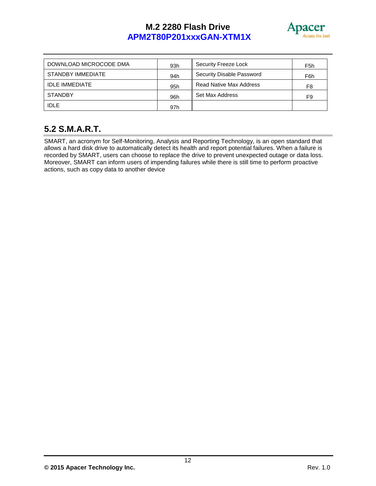

| DOWNLOAD MICROCODE DMA | 93h | Security Freeze Lock           | F <sub>5</sub> h |
|------------------------|-----|--------------------------------|------------------|
| STANDBY IMMEDIATE      | 94h | Security Disable Password      | F6h              |
| <b>IDLE IMMEDIATE</b>  | 95h | <b>Read Native Max Address</b> | F <sub>8</sub>   |
| <b>STANDBY</b>         | 96h | Set Max Address                | F <sub>9</sub>   |
| <b>IDLE</b>            | 97h |                                |                  |

# <span id="page-12-0"></span>**5.2 S.M.A.R.T.**

SMART, an acronym for Self-Monitoring, Analysis and Reporting Technology, is an open standard that allows a hard disk drive to automatically detect its health and report potential failures. When a failure is recorded by SMART, users can choose to replace the drive to prevent unexpected outage or data loss. Moreover, SMART can inform users of impending failures while there is still time to perform proactive actions, such as copy data to another device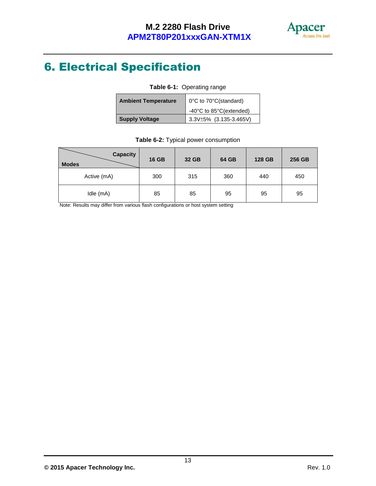

# <span id="page-13-0"></span>6. Electrical Specification

| Table 6-1: Operating range |                         |  |
|----------------------------|-------------------------|--|
| <b>Ambient Temperature</b> | 0°C to 70°C(standard)   |  |
|                            | -40°C to 85°C(extended) |  |
| <b>Supply Voltage</b>      | 3.3V±5% (3.135-3.465V)  |  |

| Table 6-2: Typical power consumption |  |
|--------------------------------------|--|
|--------------------------------------|--|

| <b>Capacity</b><br><b>Modes</b> | <b>16 GB</b> | 32 GB | 64 GB | 128 GB | 256 GB |
|---------------------------------|--------------|-------|-------|--------|--------|
| Active (mA)                     | 300          | 315   | 360   | 440    | 450    |
| Idle (mA)                       | 85           | 85    | 95    | 95     | 95     |

Note: Results may differ from various flash configurations or host system setting

**<sup>©</sup> 2015 Apacer Technology Inc.** Rev. 1.0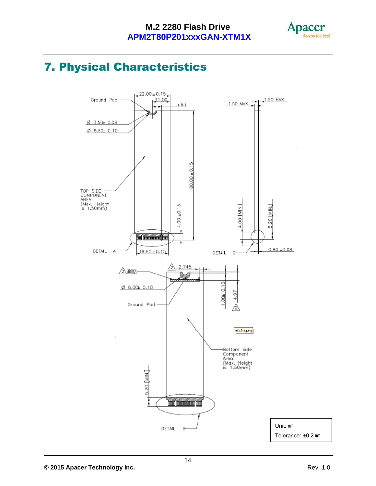

# <span id="page-14-0"></span>7. Physical Characteristics

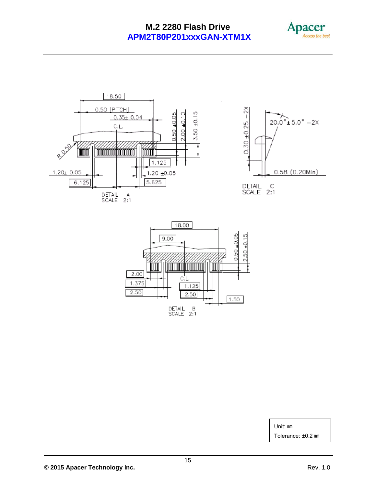





Unit: ㎜

Tolerance: ±0.2 ㎜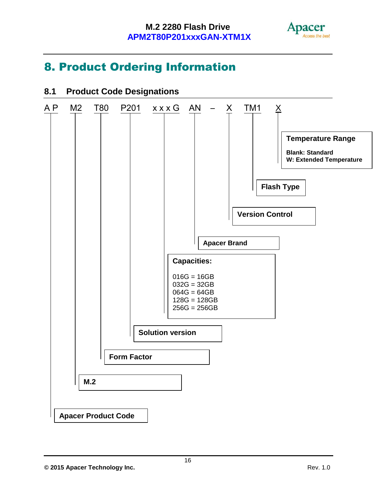

# <span id="page-16-0"></span>8. Product Ordering Information



# **8.1 Product Code Designations**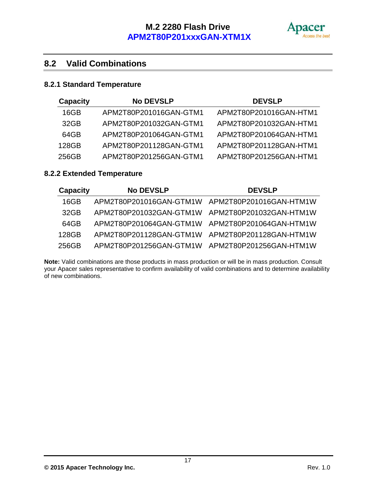

# **8.2 Valid Combinations**

#### **8.2.1 Standard Temperature**

| <b>Capacity</b> | <b>No DEVSLP</b>       | <b>DEVSLP</b>          |
|-----------------|------------------------|------------------------|
| 16GB            | APM2T80P201016GAN-GTM1 | APM2T80P201016GAN-HTM1 |
| 32GB            | APM2T80P201032GAN-GTM1 | APM2T80P201032GAN-HTM1 |
| 64GB            | APM2T80P201064GAN-GTM1 | APM2T80P201064GAN-HTM1 |
| 128GB           | APM2T80P201128GAN-GTM1 | APM2T80P201128GAN-HTM1 |
| 256GB           | APM2T80P201256GAN-GTM1 | APM2T80P201256GAN-HTM1 |

### **8.2.2 Extended Temperature**

| <b>Capacity</b> | <b>No DEVSLP</b>                                | <b>DEVSLP</b> |
|-----------------|-------------------------------------------------|---------------|
| 16GB            | APM2T80P201016GAN-GTM1W APM2T80P201016GAN-HTM1W |               |
| 32GB            | APM2T80P201032GAN-GTM1W APM2T80P201032GAN-HTM1W |               |
| 64GB            | APM2T80P201064GAN-GTM1W APM2T80P201064GAN-HTM1W |               |
| 128GB           | APM2T80P201128GAN-GTM1W APM2T80P201128GAN-HTM1W |               |
| 256GB           | APM2T80P201256GAN-GTM1W APM2T80P201256GAN-HTM1W |               |

**Note:** Valid combinations are those products in mass production or will be in mass production. Consult your Apacer sales representative to confirm availability of valid combinations and to determine availability of new combinations.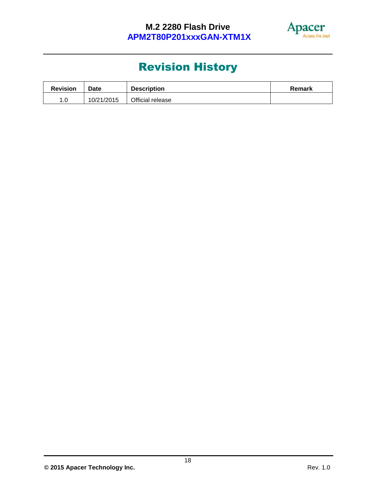

# Revision History

| <b>Revision</b> | <b>Date</b> | <b>Description</b> | Remark |
|-----------------|-------------|--------------------|--------|
| .u              | 10/21/2015  | Official release   |        |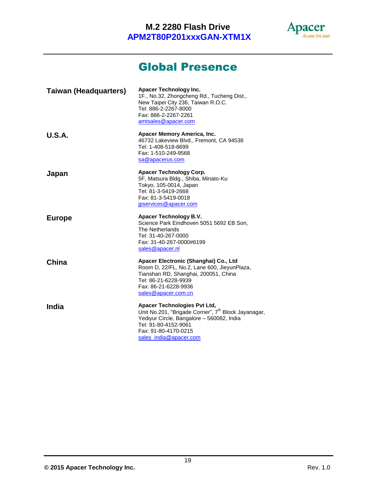

# Global Presence

| <b>Taiwan (Headquarters)</b> | <b>Apacer Technology Inc.</b><br>1F., No.32, Zhongcheng Rd., Tucheng Dist.,<br>New Taipei City 236, Taiwan R.O.C.<br>Tel: 886-2-2267-8000<br>Fax: 886-2-2267-2261<br>amtsales@apacer.com                               |
|------------------------------|------------------------------------------------------------------------------------------------------------------------------------------------------------------------------------------------------------------------|
| <b>U.S.A.</b>                | Apacer Memory America, Inc.<br>46732 Lakeview Blvd., Fremont, CA 94538<br>Tel: 1-408-518-8699<br>Fax: 1-510-249-9568<br>sa@apacerus.com                                                                                |
| Japan                        | Apacer Technology Corp.<br>5F, Matsura Bldg., Shiba, Minato-Ku<br>Tokyo, 105-0014, Japan<br>Tel: 81-3-5419-2668<br>Fax: 81-3-5419-0018<br>jpservices@apacer.com                                                        |
| <b>Europe</b>                | <b>Apacer Technology B.V.</b><br>Science Park Eindhoven 5051 5692 EB Son,<br>The Netherlands<br>Tel: 31-40-267-0000<br>Fax: 31-40-267-0000#6199<br>sales@apacer.nl                                                     |
| China                        | Apacer Electronic (Shanghai) Co., Ltd<br>Room D, 22/FL, No.2, Lane 600, JieyunPlaza,<br>Tianshan RD, Shanghai, 200051, China<br>Tel: 86-21-6228-9939<br>Fax: 86-21-6228-9936<br>sales@apacer.com.cn                    |
| India                        | Apacer Technologies Pvt Ltd,<br>Unit No.201, "Brigade Corner", 7 <sup>th</sup> Block Jayanagar,<br>Yediyur Circle, Bangalore - 560082, India<br>Tel: 91-80-4152-9061<br>Fax: 91-80-4170-0215<br>sales india@apacer.com |